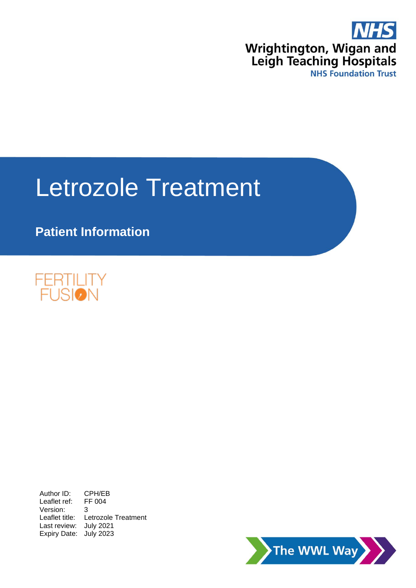

# Letrozole Treatment

# **Patient Information**



Author ID: CPH/EB<br>Leaflet ref: FF 004 Leaflet ref: Version: 3 Leaflet title: Letrozole Treatment Last review: July 2021 Expiry Date: July 2023

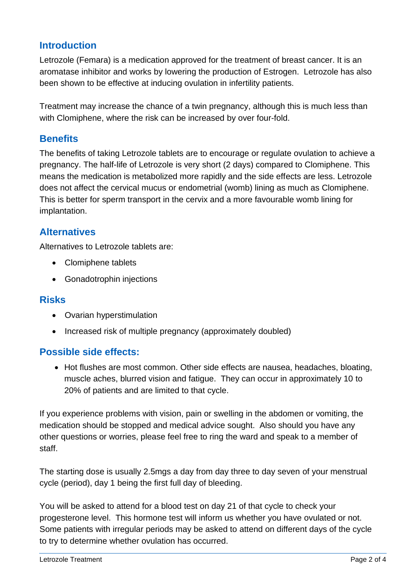# **Introduction**

Letrozole (Femara) is a medication approved for the treatment of breast cancer. It is an aromatase inhibitor and works by lowering the production of Estrogen. Letrozole has also been shown to be effective at inducing ovulation in infertility patients.

Treatment may increase the chance of a twin pregnancy, although this is much less than with Clomiphene, where the risk can be increased by over four-fold.

## **Benefits**

The benefits of taking Letrozole tablets are to encourage or regulate ovulation to achieve a pregnancy. The half-life of Letrozole is very short (2 days) compared to Clomiphene. This means the medication is metabolized more rapidly and the side effects are less. Letrozole does not affect the cervical mucus or endometrial (womb) lining as much as Clomiphene. This is better for sperm transport in the cervix and a more favourable womb lining for implantation.

## **Alternatives**

Alternatives to Letrozole tablets are:

- Clomiphene tablets
- Gonadotrophin injections

#### **Risks**

- Ovarian hyperstimulation
- Increased risk of multiple pregnancy (approximately doubled)

# **Possible side effects:**

• Hot flushes are most common. Other side effects are nausea, headaches, bloating, muscle aches, blurred vision and fatigue. They can occur in approximately 10 to 20% of patients and are limited to that cycle.

If you experience problems with vision, pain or swelling in the abdomen or vomiting, the medication should be stopped and medical advice sought. Also should you have any other questions or worries, please feel free to ring the ward and speak to a member of staff.

The starting dose is usually 2.5mgs a day from day three to day seven of your menstrual cycle (period), day 1 being the first full day of bleeding.

You will be asked to attend for a blood test on day 21 of that cycle to check your progesterone level. This hormone test will inform us whether you have ovulated or not. Some patients with irregular periods may be asked to attend on different days of the cycle to try to determine whether ovulation has occurred.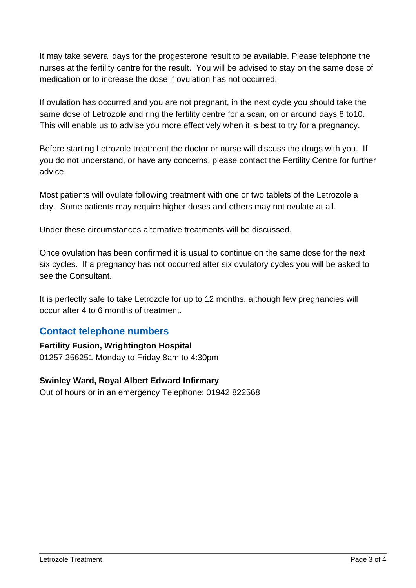It may take several days for the progesterone result to be available. Please telephone the nurses at the fertility centre for the result. You will be advised to stay on the same dose of medication or to increase the dose if ovulation has not occurred.

If ovulation has occurred and you are not pregnant, in the next cycle you should take the same dose of Letrozole and ring the fertility centre for a scan, on or around days 8 to10. This will enable us to advise you more effectively when it is best to try for a pregnancy.

Before starting Letrozole treatment the doctor or nurse will discuss the drugs with you. If you do not understand, or have any concerns, please contact the Fertility Centre for further advice.

Most patients will ovulate following treatment with one or two tablets of the Letrozole a day. Some patients may require higher doses and others may not ovulate at all.

Under these circumstances alternative treatments will be discussed.

Once ovulation has been confirmed it is usual to continue on the same dose for the next six cycles. If a pregnancy has not occurred after six ovulatory cycles you will be asked to see the Consultant.

It is perfectly safe to take Letrozole for up to 12 months, although few pregnancies will occur after 4 to 6 months of treatment.

#### **Contact telephone numbers**

#### **Fertility Fusion, Wrightington Hospital**  01257 256251 Monday to Friday 8am to 4:30pm

#### **Swinley Ward, Royal Albert Edward Infirmary**

Out of hours or in an emergency Telephone: 01942 822568